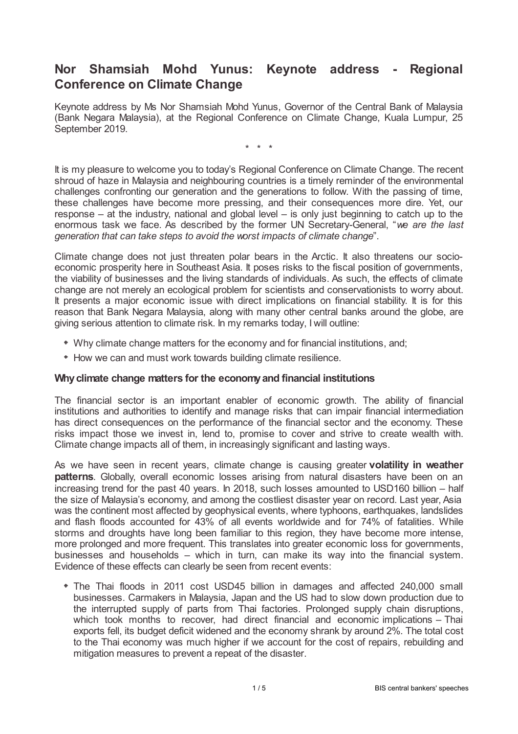## **Nor Shamsiah Mohd Yunus: Keynote address - Regional Conference on Climate Change**

Keynote address by Ms Nor Shamsiah Mohd Yunus, Governor of the Central Bank of Malaysia (Bank Negara Malaysia), at the Regional Conference on Climate Change, Kuala Lumpur, 25 September 2019.

\* \* \*

It is my pleasure to welcome you to today's Regional Conference on Climate Change. The recent shroud of haze in Malaysia and neighbouring countries is a timely reminder of the environmental challenges confronting our generation and the generations to follow. With the passing of time, these challenges have become more pressing, and their consequences more dire. Yet, our response – at the industry, national and global level – is only just beginning to catch up to the enormous task we face. As described by the former UN Secretary-General, "*we are the last generation that can take steps to avoid the worst impacts of climate change*".

Climate change does not just threaten polar bears in the Arctic. It also threatens our socioeconomic prosperity here in Southeast Asia. It poses risks to the fiscal position of governments, the viability of businesses and the living standards of individuals. As such, the effects of climate change are not merely an ecological problem for scientists and conservationists to worry about. It presents a major economic issue with direct implications on financial stability. It is for this reason that Bank Negara Malaysia, along with many other central banks around the globe, are giving serious attention to climate risk. In my remarks today, I will outline:

- Why climate change matters for the economy and for financial institutions, and;
- How we can and must work towards building climate resilience.

## **Whyclimate change matters for the economyand financial institutions**

The financial sector is an important enabler of economic growth. The ability of financial institutions and authorities to identify and manage risks that can impair financial intermediation has direct consequences on the performance of the financial sector and the economy. These risks impact those we invest in, lend to, promise to cover and strive to create wealth with. Climate change impacts all of them, in increasingly significant and lasting ways.

As we have seen in recent years, climate change is causing greater **volatility in weather patterns**. Globally, overall economic losses arising from natural disasters have been on an increasing trend for the past 40 years. In 2018, such losses amounted to USD160 billion – half the size of Malaysia's economy, and among the costliest disaster year on record. Last year, Asia was the continent most affected by geophysical events, where typhoons, earthquakes, landslides and flash floods accounted for 43% of all events worldwide and for 74% of fatalities. While storms and droughts have long been familiar to this region, they have become more intense, more prolonged and more frequent. This translates into greater economic loss for governments, businesses and households – which in turn, can make its way into the financial system. Evidence of these effects can clearly be seen from recent events:

The Thai floods in 2011 cost USD45 billion in damages and affected 240,000 small businesses. Carmakers in Malaysia, Japan and the US had to slow down production due to the interrupted supply of parts from Thai factories. Prolonged supply chain disruptions, which took months to recover, had direct financial and economic implications – Thai exports fell, its budget deficit widened and the economy shrank by around 2%. The total cost to the Thai economy was much higher if we account for the cost of repairs, rebuilding and mitigation measures to prevent a repeat of the disaster.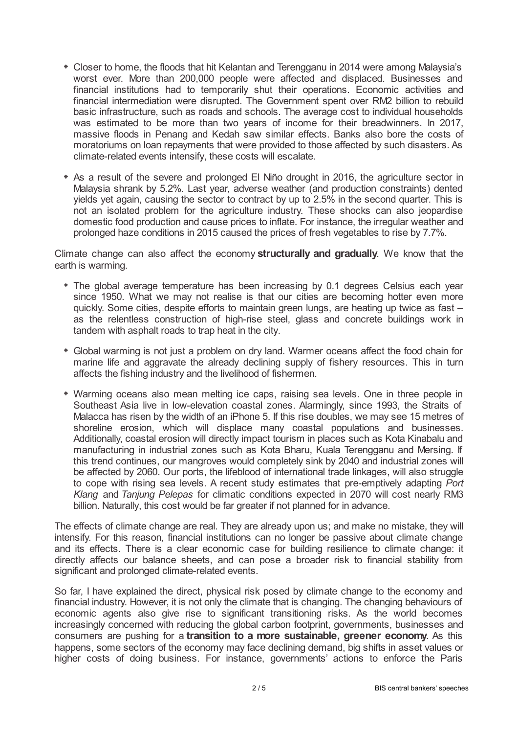- Closer to home, the floods that hit Kelantan and Terengganu in 2014 were among Malaysia's worst ever. More than 200,000 people were affected and displaced. Businesses and financial institutions had to temporarily shut their operations. Economic activities and financial intermediation were disrupted. The Government spent over RM2 billion to rebuild basic infrastructure, such as roads and schools. The average cost to individual households was estimated to be more than two years of income for their breadwinners. In 2017, massive floods in Penang and Kedah saw similar effects. Banks also bore the costs of moratoriums on loan repayments that were provided to those affected by such disasters. As climate-related events intensify, these costs will escalate.
- As a result of the severe and prolonged El Niño drought in 2016, the agriculture sector in Malaysia shrank by 5.2%. Last year, adverse weather (and production constraints) dented yields yet again, causing the sector to contract by up to 2.5% in the second quarter. This is not an isolated problem for the agriculture industry. These shocks can also jeopardise domestic food production and cause prices to inflate. For instance, the irregular weather and prolonged haze conditions in 2015 caused the prices of fresh vegetables to rise by 7.7%.

Climate change can also affect the economy **structurally and gradually**. We know that the earth is warming.

- The global average temperature has been increasing by 0.1 degrees Celsius each year since 1950. What we may not realise is that our cities are becoming hotter even more quickly. Some cities, despite efforts to maintain green lungs, are heating up twice as fast – as the relentless construction of high-rise steel, glass and concrete buildings work in tandem with asphalt roads to trap heat in the city.
- Global warming is not just a problem on dry land. Warmer oceans affect the food chain for marine life and aggravate the already declining supply of fishery resources. This in turn affects the fishing industry and the livelihood of fishermen.
- Warming oceans also mean melting ice caps, raising sea levels. One in three people in Southeast Asia live in low-elevation coastal zones. Alarmingly, since 1993, the Straits of Malacca has risen by the width of an iPhone 5. If this rise doubles, we may see 15 metres of shoreline erosion, which will displace many coastal populations and businesses. Additionally, coastal erosion will directly impact tourism in places such as Kota Kinabalu and manufacturing in industrial zones such as Kota Bharu, Kuala Terengganu and Mersing. If this trend continues, our mangroves would completely sink by 2040 and industrial zones will be affected by 2060. Our ports, the lifeblood of international trade linkages, will also struggle to cope with rising sea levels. A recent study estimates that pre-emptively adapting *Port Klang* and *Tanjung Pelepas* for climatic conditions expected in 2070 will cost nearly RM3 billion. Naturally, this cost would be far greater if not planned for in advance.

The effects of climate change are real. They are already upon us; and make no mistake, they will intensify. For this reason, financial institutions can no longer be passive about climate change and its effects. There is a clear economic case for building resilience to climate change: it directly affects our balance sheets, and can pose a broader risk to financial stability from significant and prolonged climate-related events.

So far, I have explained the direct, physical risk posed by climate change to the economy and financial industry. However, it is not only the climate that is changing. The changing behaviours of economic agents also give rise to significant transitioning risks. As the world becomes increasingly concerned with reducing the global carbon footprint, governments, businesses and consumers are pushing for a **transition to a more sustainable, greener economy**. As this happens, some sectors of the economy may face declining demand, big shifts in asset values or higher costs of doing business. For instance, governments' actions to enforce the Paris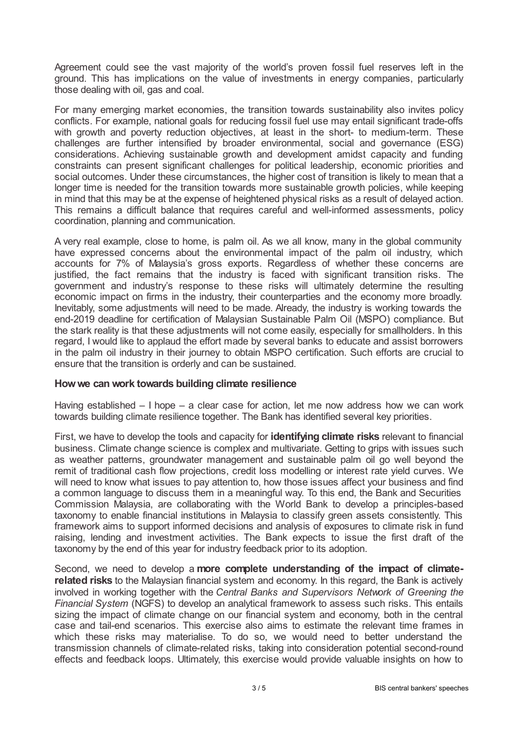Agreement could see the vast majority of the world's proven fossil fuel reserves left in the ground. This has implications on the value of investments in energy companies, particularly those dealing with oil, gas and coal.

For many emerging market economies, the transition towards sustainability also invites policy conflicts. For example, national goals for reducing fossil fuel use may entail significant trade-offs with growth and poverty reduction objectives, at least in the short- to medium-term. These challenges are further intensified by broader environmental, social and governance (ESG) considerations. Achieving sustainable growth and development amidst capacity and funding constraints can present significant challenges for political leadership, economic priorities and social outcomes. Under these circumstances, the higher cost of transition is likely to mean that a longer time is needed for the transition towards more sustainable growth policies, while keeping in mind that this may be at the expense of heightened physical risks as a result of delayed action. This remains a difficult balance that requires careful and well-informed assessments, policy coordination, planning and communication.

A very real example, close to home, is palm oil. As we all know, many in the global community have expressed concerns about the environmental impact of the palm oil industry, which accounts for 7% of Malaysia's gross exports. Regardless of whether these concerns are justified, the fact remains that the industry is faced with significant transition risks. The government and industry's response to these risks will ultimately determine the resulting economic impact on firms in the industry, their counterparties and the economy more broadly. Inevitably, some adjustments will need to be made. Already, the industry is working towards the end-2019 deadline for certification of Malaysian Sustainable Palm Oil (MSPO) compliance. But the stark reality is that these adjustments will not come easily, especially for smallholders. In this regard, I would like to applaud the effort made by several banks to educate and assist borrowers in the palm oil industry in their journey to obtain MSPO certification. Such efforts are crucial to ensure that the transition is orderly and can be sustained.

## **Howwe can work towards building climate resilience**

Having established – I hope – a clear case for action, let me now address how we can work towards building climate resilience together. The Bank has identified several key priorities.

First, we have to develop the tools and capacity for **identifying climate risks** relevant to financial business. Climate change science is complex and multivariate. Getting to grips with issues such as weather patterns, groundwater management and sustainable palm oil go well beyond the remit of traditional cash flow projections, credit loss modelling or interest rate yield curves. We will need to know what issues to pay attention to, how those issues affect your business and find a common language to discuss them in a meaningful way. To this end, the Bank and Securities Commission Malaysia, are collaborating with the World Bank to develop a principles-based taxonomy to enable financial institutions in Malaysia to classify green assets consistently. This framework aims to support informed decisions and analysis of exposures to climate risk in fund raising, lending and investment activities. The Bank expects to issue the first draft of the taxonomy by the end of this year for industry feedback prior to its adoption.

Second, we need to develop a **more complete understanding of the impact of climaterelated risks** to the Malaysian financial system and economy. In this regard, the Bank is actively involved in working together with the *Central Banks and Supervisors Network of Greening the Financial System* (NGFS) to develop an analytical framework to assess such risks. This entails sizing the impact of climate change on our financial system and economy, both in the central case and tail-end scenarios. This exercise also aims to estimate the relevant time frames in which these risks may materialise. To do so, we would need to better understand the transmission channels of climate-related risks, taking into consideration potential second-round effects and feedback loops. Ultimately, this exercise would provide valuable insights on how to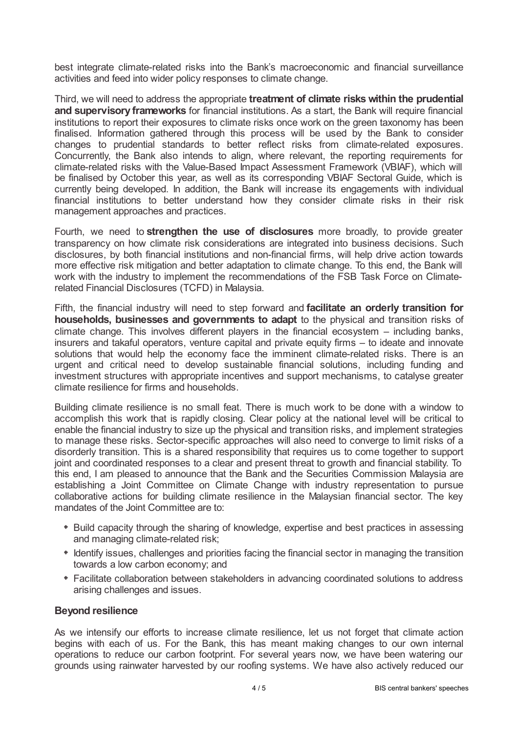best integrate climate-related risks into the Bank's macroeconomic and financial surveillance activities and feed into wider policy responses to climate change.

Third, we will need to address the appropriate **treatment of climate risks within the prudential and supervisory frameworks** for financial institutions. As a start, the Bank will require financial institutions to report their exposures to climate risks once work on the green taxonomy has been finalised. Information gathered through this process will be used by the Bank to consider changes to prudential standards to better reflect risks from climate-related exposures. Concurrently, the Bank also intends to align, where relevant, the reporting requirements for climate-related risks with the Value-Based Impact Assessment Framework (VBIAF), which will be finalised by October this year, as well as its corresponding VBIAF Sectoral Guide, which is currently being developed. In addition, the Bank will increase its engagements with individual financial institutions to better understand how they consider climate risks in their risk management approaches and practices.

Fourth, we need to **strengthen the use of disclosures** more broadly, to provide greater transparency on how climate risk considerations are integrated into business decisions. Such disclosures, by both financial institutions and non-financial firms, will help drive action towards more effective risk mitigation and better adaptation to climate change. To this end, the Bank will work with the industry to implement the recommendations of the FSB Task Force on Climaterelated Financial Disclosures (TCFD) in Malaysia.

Fifth, the financial industry will need to step forward and **facilitate an orderly transition for households, businesses and governments to adapt** to the physical and transition risks of climate change. This involves different players in the financial ecosystem – including banks, insurers and takaful operators, venture capital and private equity firms – to ideate and innovate solutions that would help the economy face the imminent climate-related risks. There is an urgent and critical need to develop sustainable financial solutions, including funding and investment structures with appropriate incentives and support mechanisms, to catalyse greater climate resilience for firms and households.

Building climate resilience is no small feat. There is much work to be done with a window to accomplish this work that is rapidly closing. Clear policy at the national level will be critical to enable the financial industry to size up the physical and transition risks, and implement strategies to manage these risks. Sector-specific approaches will also need to converge to limit risks of a disorderly transition. This is a shared responsibility that requires us to come together to support joint and coordinated responses to a clear and present threat to growth and financial stability. To this end, I am pleased to announce that the Bank and the Securities Commission Malaysia are establishing a Joint Committee on Climate Change with industry representation to pursue collaborative actions for building climate resilience in the Malaysian financial sector. The key mandates of the Joint Committee are to:

- Build capacity through the sharing of knowledge, expertise and best practices in assessing and managing climate-related risk;
- Identify issues, challenges and priorities facing the financial sector in managing the transition towards a low carbon economy; and
- Facilitate collaboration between stakeholders in advancing coordinated solutions to address arising challenges and issues.

## **Beyond resilience**

As we intensify our efforts to increase climate resilience, let us not forget that climate action begins with each of us. For the Bank, this has meant making changes to our own internal operations to reduce our carbon footprint. For several years now, we have been watering our grounds using rainwater harvested by our roofing systems. We have also actively reduced our